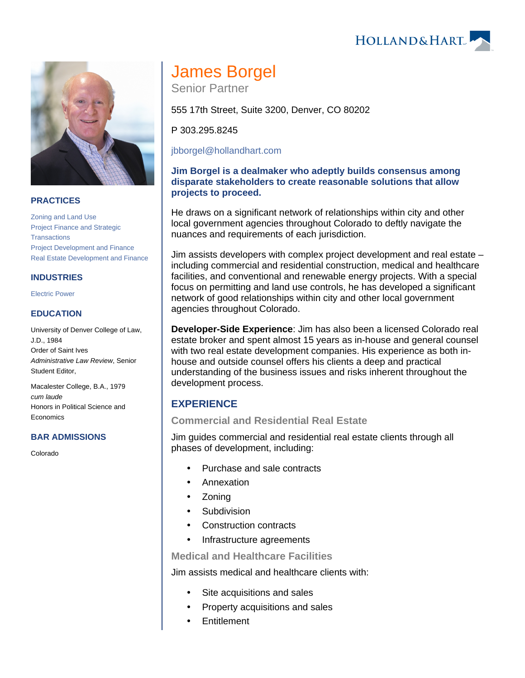## **PRACTICES**

[Zoning and Land Use](https://www.hollandhart.com/19718) [Project Finance and Strategic](https://www.hollandhart.com/28503)  **[Transactions](https://www.hollandhart.com/28503)** [Project Development and Finance](https://www.hollandhart.com/19763) [Real Estate Development and Finance](https://www.hollandhart.com/19761)

## **INDUSTRIES**

[Electric Power](https://www.hollandhart.com/19737)

## **EDUCATION**

University of Denver College of Law, J.D., 1984 Order of Saint Ives Administrative Law Review, Senior Student Editor,

Macalester College, B.A., 1979 cum laude Honors in Political Science and **Economics** 

## **BAR ADMISSIONS**

Colorado

# James Borgel

Senior Partner

555 17th Street, Suite 3200, Denver, CO 80202

P 303.295.8245

## [jbborgel@hollandhart.com](mailto:jbborgel@hollandhart.com)

## **Jim Borgel is a dealmaker who adeptly builds consensus among disparate stakeholders to create reasonable solutions that allow projects to proceed.**

He draws on a significant network of relationships within city and other local government agencies throughout Colorado to deftly navigate the nuances and requirements of each jurisdiction.

Jim assists developers with complex project development and real estate – including commercial and residential construction, medical and healthcare facilities, and conventional and renewable energy projects. With a special focus on permitting and land use controls, he has developed a significant network of good relationships within city and other local government agencies throughout Colorado.

**Developer-Side Experience**: Jim has also been a licensed Colorado real estate broker and spent almost 15 years as in-house and general counsel with two real estate development companies. His experience as both inhouse and outside counsel offers his clients a deep and practical understanding of the business issues and risks inherent throughout the development process.

## **EXPERIENCE**

## **Commercial and Residential Real Estate**

Jim guides commercial and residential real estate clients through all phases of development, including:

- Purchase and sale contracts
- Annexation
- Zoning
- Subdivision
- Construction contracts
- Infrastructure agreements

**Medical and Healthcare Facilities**

Jim assists medical and healthcare clients with:

- Site acquisitions and sales
- Property acquisitions and sales
- **Entitlement**